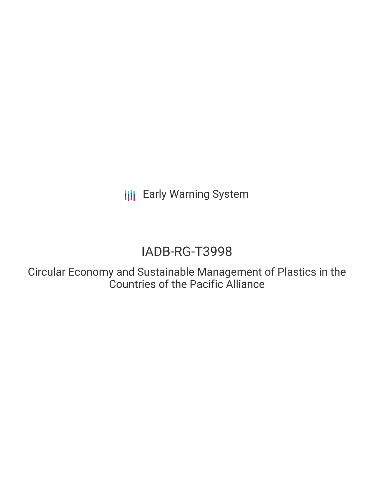**III** Early Warning System

# IADB-RG-T3998

Circular Economy and Sustainable Management of Plastics in the Countries of the Pacific Alliance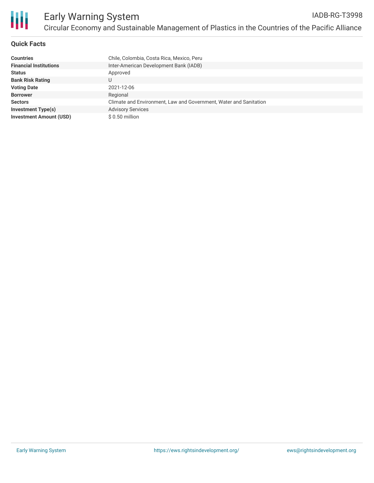

# **Quick Facts**

| <b>Countries</b>               | Chile, Colombia, Costa Rica, Mexico, Peru                         |
|--------------------------------|-------------------------------------------------------------------|
| <b>Financial Institutions</b>  | Inter-American Development Bank (IADB)                            |
| <b>Status</b>                  | Approved                                                          |
| <b>Bank Risk Rating</b>        |                                                                   |
| <b>Voting Date</b>             | 2021-12-06                                                        |
| <b>Borrower</b>                | Regional                                                          |
| <b>Sectors</b>                 | Climate and Environment, Law and Government, Water and Sanitation |
| <b>Investment Type(s)</b>      | <b>Advisory Services</b>                                          |
| <b>Investment Amount (USD)</b> | \$ 0.50 million                                                   |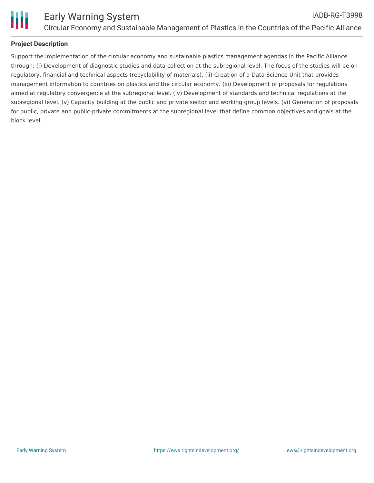

# **Project Description**

Support the implementation of the circular economy and sustainable plastics management agendas in the Pacific Alliance through: (i) Development of diagnostic studies and data collection at the subregional level. The focus of the studies will be on regulatory, financial and technical aspects (recyclability of materials). (ii) Creation of a Data Science Unit that provides management information to countries on plastics and the circular economy. (iii) Development of proposals for regulations aimed at regulatory convergence at the subregional level. (iv) Development of standards and technical regulations at the subregional level. (v) Capacity building at the public and private sector and working group levels. (vi) Generation of proposals for public, private and public-private commitments at the subregional level that define common objectives and goals at the block level.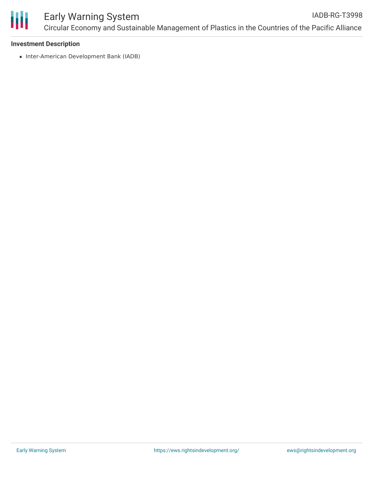

## Early Warning System Circular Economy and Sustainable Management of Plastics in the Countries of the Pacific Alliance IADB-RG-T3998

## **Investment Description**

• Inter-American Development Bank (IADB)